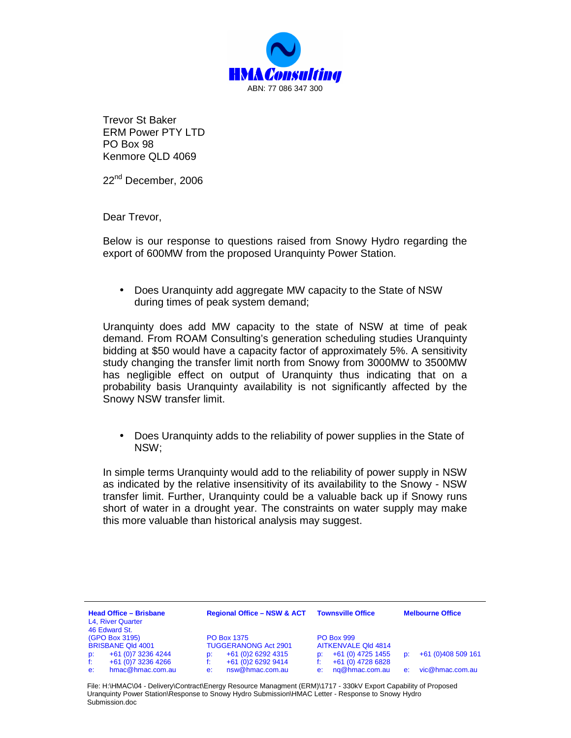

Trevor St Baker ERM Power PTY LTD PO Box 98 Kenmore QLD 4069

22<sup>nd</sup> December, 2006

Dear Trevor,

Below is our response to questions raised from Snowy Hydro regarding the export of 600MW from the proposed Uranquinty Power Station.

• Does Uranquinty add aggregate MW capacity to the State of NSW during times of peak system demand;

Uranquinty does add MW capacity to the state of NSW at time of peak demand. From ROAM Consulting's generation scheduling studies Uranquinty bidding at \$50 would have a capacity factor of approximately 5%. A sensitivity study changing the transfer limit north from Snowy from 3000MW to 3500MW has negligible effect on output of Uranquinty thus indicating that on a probability basis Uranquinty availability is not significantly affected by the Snowy NSW transfer limit.

• Does Uranquinty adds to the reliability of power supplies in the State of NSW;

In simple terms Uranquinty would add to the reliability of power supply in NSW as indicated by the relative insensitivity of its availability to the Snowy - NSW transfer limit. Further, Uranquinty could be a valuable back up if Snowy runs short of water in a drought year. The constraints on water supply may make this more valuable than historical analysis may suggest.

| <b>Head Office - Brisbane</b><br>L4, River Quarter<br>46 Edward St. |                     | <b>Regional Office - NSW &amp; ACT</b> |                     | <b>Townsville Office</b>   |                   | <b>Melbourne Office</b> |                    |
|---------------------------------------------------------------------|---------------------|----------------------------------------|---------------------|----------------------------|-------------------|-------------------------|--------------------|
| (GPO Box 3195)                                                      |                     | <b>PO Box 1375</b>                     |                     | <b>PO Box 999</b>          |                   |                         |                    |
| <b>BRISBANE QId 4001</b>                                            |                     | <b>TUGGERANONG Act 2901</b>            |                     | <b>AITKENVALE QId 4814</b> |                   |                         |                    |
| D:                                                                  | +61 (0) 7 3236 4244 | D:                                     | +61 (0) 2 6292 4315 | D.                         | +61 (0) 4725 1455 | D.                      | +61 (0)408 509 161 |
| f:                                                                  | +61 (0) 7 3236 4266 |                                        | +61 (0) 2 6292 9414 |                            | +61 (0) 4728 6828 |                         |                    |
| e:                                                                  | hmac@hmac.com.au    | e:                                     | nsw@hmac.com.au     | e:                         | ng@hmac.com.au    | e:                      | vic@hmac.com.au    |

File: H:\HMAC\04 - Delivery\Contract\Energy Resource Managment (ERM)\1717 - 330kV Export Capability of Proposed Uranquinty Power Station\Response to Snowy Hydro Submission\HMAC Letter - Response to Snowy Hydro Submission.doc.